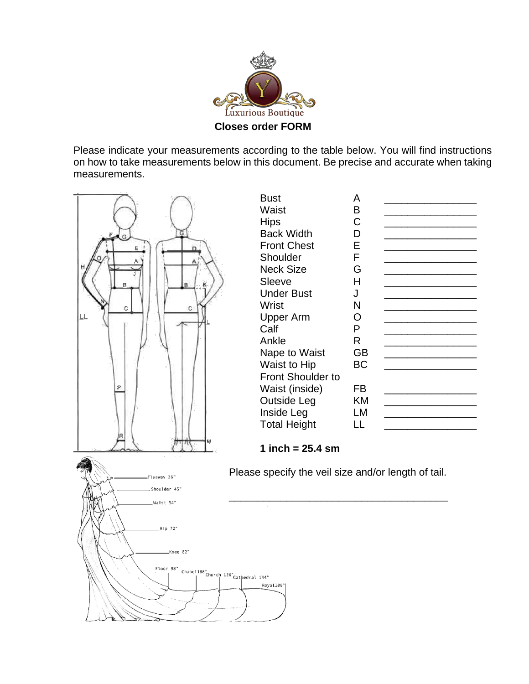

Please indicate your measurements according to the table below. You will find instructions on how to take measurements below in this document. Be precise and accurate when taking measurements.

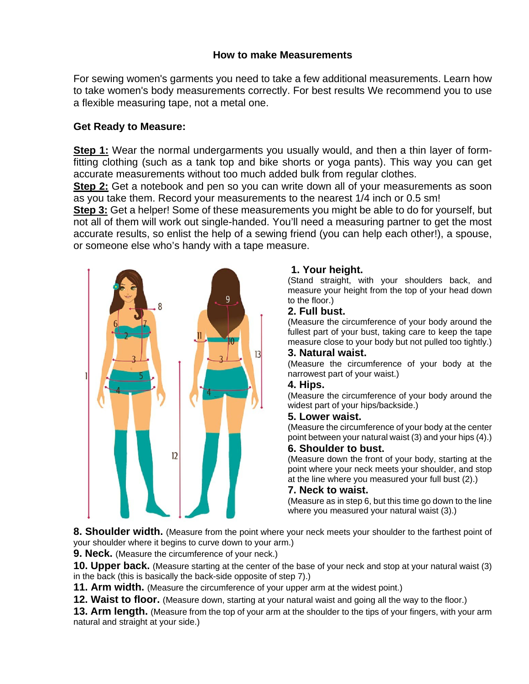## **How to make Measurements**

For sewing women's garments you need to take a few additional measurements. Learn how to take women's body measurements correctly. For best results We recommend you to use a flexible measuring tape, not a metal one.

# **Get Ready to Measure:**

**Step 1:** Wear the normal undergarments you usually would, and then a thin layer of formfitting clothing (such as a tank top and bike shorts or yoga pants). This way you can get accurate measurements without too much added bulk from regular clothes.

**Step 2:** Get a notebook and pen so you can write down all of your measurements as soon as you take them. Record your measurements to the nearest 1/4 inch or 0.5 sm!

**Step 3:** Get a helper! Some of these measurements you might be able to do for yourself, but not all of them will work out single-handed. You'll need a measuring partner to get the most accurate results, so enlist the help of a sewing friend (you can help each other!), a spouse, or someone else who's handy with a tape measure.



# **1. Your height.**

(Stand straight, with your shoulders back, and measure your height from the top of your head down to the floor.)

## **2. Full bust.**

(Measure the circumference of your body around the fullest part of your bust, taking care to keep the tape measure close to your body but not pulled too tightly.)

# **3. Natural waist.**

(Measure the circumference of your body at the narrowest part of your waist.)

## **4. Hips.**

(Measure the circumference of your body around the widest part of your hips/backside.)

#### **5. Lower waist.**

(Measure the circumference of your body at the center point between your natural waist (3) and your hips (4).)

## **6. Shoulder to bust.**

(Measure down the front of your body, starting at the point where your neck meets your shoulder, and stop at the line where you measured your full bust (2).)

#### **7. Neck to waist.**

(Measure as in step 6, but this time go down to the line where you measured your natural waist (3).)

**8. Shoulder width.** (Measure from the point where your neck meets your shoulder to the farthest point of your shoulder where it begins to curve down to your arm.)

**9. Neck.** (Measure the circumference of your neck.)

**10. Upper back.** (Measure starting at the center of the base of your neck and stop at your natural waist (3) in the back (this is basically the back-side opposite of step 7).)

**11. Arm width.** (Measure the circumference of your upper arm at the widest point.)

**12. Waist to floor.** (Measure down, starting at your natural waist and going all the way to the floor.)

**13. Arm length.** (Measure from the top of your arm at the shoulder to the tips of your fingers, with your arm natural and straight at your side.)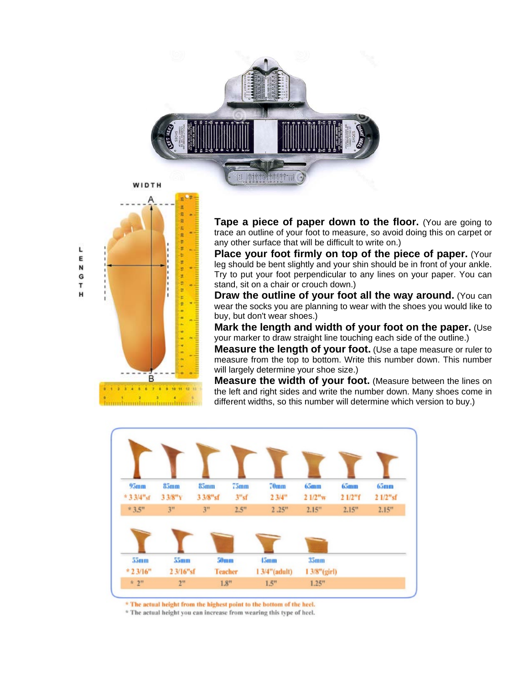



muhumuhumuhumuhu

**Tape a piece of paper down to the floor.** (You are going to trace an outline of your foot to measure, so avoid doing this on carpet or any other surface that will be difficult to write on.)

**Place your foot firmly on top of the piece of paper.** (Your leg should be bent slightly and your shin should be in front of your ankle. Try to put your foot perpendicular to any lines on your paper. You can stand, sit on a chair or crouch down.)

**Draw the outline of your foot all the way around.** (You can wear the socks you are planning to wear with the shoes you would like to buy, but don't wear shoes.)

**Mark the length and width of your foot on the paper.** (Use your marker to draw straight line touching each side of the outline.)

**Measure the length of your foot.** (Use a tape measure or ruler to measure from the top to bottom. Write this number down. This number will largely determine your shoe size.)

**Measure the width of your foot.** (Measure between the lines on the left and right sides and write the number down. Many shoes come in different widths, so this number will determine which version to buy.)



\* The actual height from the highest point to the bottom of the heel.

\* The actual height you can increase from wearing this type of heel.